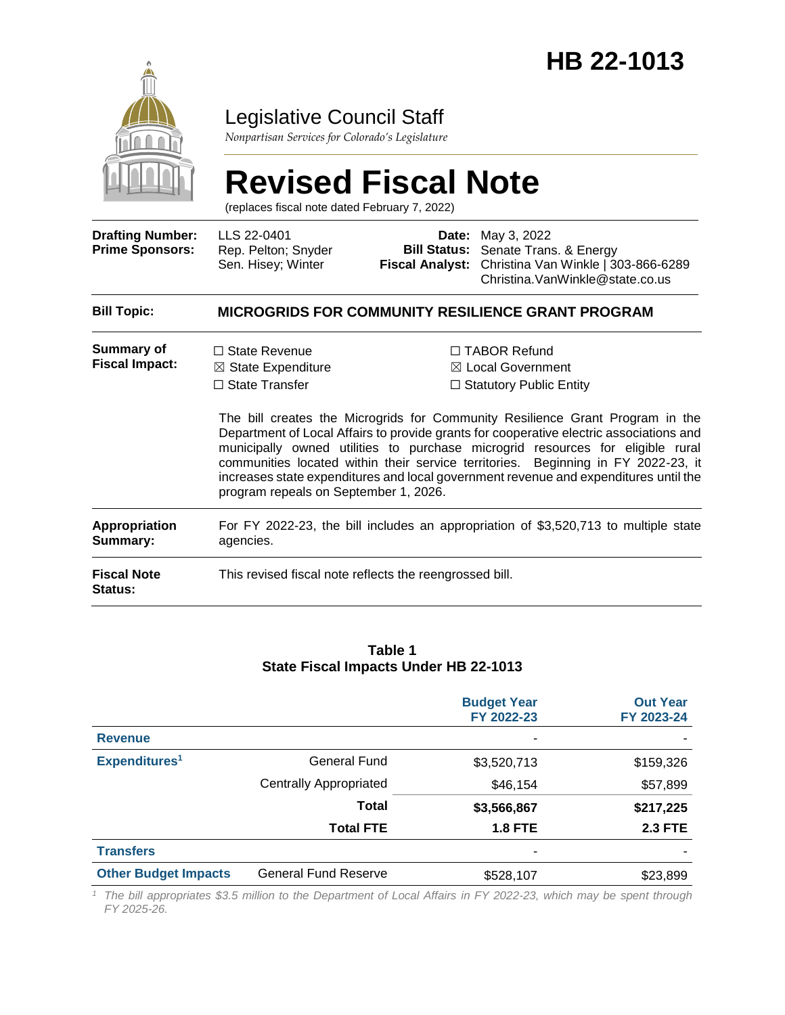

## Legislative Council Staff

*Nonpartisan Services for Colorado's Legislature*

# **Revised Fiscal Note**

(replaces fiscal note dated February 7, 2022)

| <b>Drafting Number:</b><br><b>Prime Sponsors:</b> | LLS 22-0401<br>Rep. Pelton; Snyder<br>Sen. Hisey; Winter                                                                |  | <b>Date:</b> May 3, 2022<br><b>Bill Status:</b> Senate Trans. & Energy<br>Fiscal Analyst: Christina Van Winkle   303-866-6289<br>Christina. VanWinkle@state.co.us                                                                                                                                                                                                                                                                                                                                                                |  |  |  |
|---------------------------------------------------|-------------------------------------------------------------------------------------------------------------------------|--|----------------------------------------------------------------------------------------------------------------------------------------------------------------------------------------------------------------------------------------------------------------------------------------------------------------------------------------------------------------------------------------------------------------------------------------------------------------------------------------------------------------------------------|--|--|--|
| <b>Bill Topic:</b>                                | <b>MICROGRIDS FOR COMMUNITY RESILIENCE GRANT PROGRAM</b>                                                                |  |                                                                                                                                                                                                                                                                                                                                                                                                                                                                                                                                  |  |  |  |
| Summary of<br><b>Fiscal Impact:</b>               | $\Box$ State Revenue<br>$\boxtimes$ State Expenditure<br>$\Box$ State Transfer<br>program repeals on September 1, 2026. |  | $\Box$ TABOR Refund<br>$\boxtimes$ Local Government<br>$\Box$ Statutory Public Entity<br>The bill creates the Microgrids for Community Resilience Grant Program in the<br>Department of Local Affairs to provide grants for cooperative electric associations and<br>municipally owned utilities to purchase microgrid resources for eligible rural<br>communities located within their service territories. Beginning in FY 2022-23, it<br>increases state expenditures and local government revenue and expenditures until the |  |  |  |
| <b>Appropriation</b><br>Summary:                  | For FY 2022-23, the bill includes an appropriation of \$3,520,713 to multiple state<br>agencies.                        |  |                                                                                                                                                                                                                                                                                                                                                                                                                                                                                                                                  |  |  |  |
| <b>Fiscal Note</b><br><b>Status:</b>              | This revised fiscal note reflects the reengrossed bill.                                                                 |  |                                                                                                                                                                                                                                                                                                                                                                                                                                                                                                                                  |  |  |  |

#### **Table 1 State Fiscal Impacts Under HB 22-1013**

|                             |                               | <b>Budget Year</b><br>FY 2022-23 | <b>Out Year</b><br>FY 2023-24 |
|-----------------------------|-------------------------------|----------------------------------|-------------------------------|
| <b>Revenue</b>              |                               | ٠                                |                               |
| Expenditures <sup>1</sup>   | General Fund                  | \$3,520,713                      | \$159,326                     |
|                             | <b>Centrally Appropriated</b> | \$46,154                         | \$57,899                      |
|                             | <b>Total</b>                  | \$3,566,867                      | \$217,225                     |
|                             | <b>Total FTE</b>              | <b>1.8 FTE</b>                   | <b>2.3 FTE</b>                |
| <b>Transfers</b>            |                               | ۰                                |                               |
| <b>Other Budget Impacts</b> | <b>General Fund Reserve</b>   | \$528,107                        | \$23,899                      |

*<sup>1</sup> The bill appropriates \$3.5 million to the Department of Local Affairs in FY 2022-23, which may be spent through FY 2025-26.*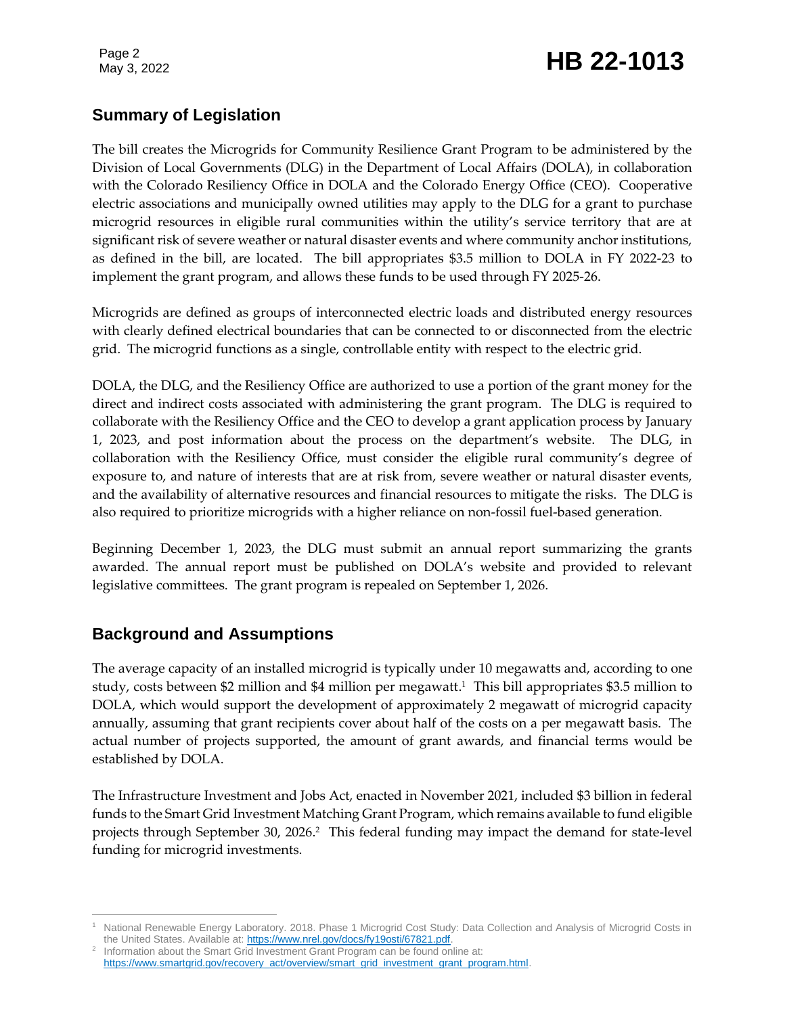Page 2

## Page 2<br>May 3, 2022 **HB 22-1013**

## **Summary of Legislation**

The bill creates the Microgrids for Community Resilience Grant Program to be administered by the Division of Local Governments (DLG) in the Department of Local Affairs (DOLA), in collaboration with the Colorado Resiliency Office in DOLA and the Colorado Energy Office (CEO). Cooperative electric associations and municipally owned utilities may apply to the DLG for a grant to purchase microgrid resources in eligible rural communities within the utility's service territory that are at significant risk of severe weather or natural disaster events and where community anchor institutions, as defined in the bill, are located. The bill appropriates \$3.5 million to DOLA in FY 2022-23 to implement the grant program, and allows these funds to be used through FY 2025-26.

Microgrids are defined as groups of interconnected electric loads and distributed energy resources with clearly defined electrical boundaries that can be connected to or disconnected from the electric grid. The microgrid functions as a single, controllable entity with respect to the electric grid.

DOLA, the DLG, and the Resiliency Office are authorized to use a portion of the grant money for the direct and indirect costs associated with administering the grant program. The DLG is required to collaborate with the Resiliency Office and the CEO to develop a grant application process by January 1, 2023, and post information about the process on the department's website. The DLG, in collaboration with the Resiliency Office, must consider the eligible rural community's degree of exposure to, and nature of interests that are at risk from, severe weather or natural disaster events, and the availability of alternative resources and financial resources to mitigate the risks. The DLG is also required to prioritize microgrids with a higher reliance on non-fossil fuel-based generation.

Beginning December 1, 2023, the DLG must submit an annual report summarizing the grants awarded. The annual report must be published on DOLA's website and provided to relevant legislative committees. The grant program is repealed on September 1, 2026.

## **Background and Assumptions**

The average capacity of an installed microgrid is typically under 10 megawatts and, according to one study, costs between \$2 million and \$4 million per megawatt. 1 This bill appropriates \$3.5 million to DOLA, which would support the development of approximately 2 megawatt of microgrid capacity annually, assuming that grant recipients cover about half of the costs on a per megawatt basis. The actual number of projects supported, the amount of grant awards, and financial terms would be established by DOLA.

The Infrastructure Investment and Jobs Act, enacted in November 2021, included \$3 billion in federal funds to the Smart Grid Investment Matching Grant Program, which remains available to fund eligible projects through September 30, 2026. 2 This federal funding may impact the demand for state-level funding for microgrid investments.

 $\overline{a}$ <sup>1</sup> National Renewable Energy Laboratory. 2018. Phase 1 Microgrid Cost Study: Data Collection and Analysis of Microgrid Costs in the United States. Available at[: https://www.nrel.gov/docs/fy19osti/67821.pdf.](https://www.nrel.gov/docs/fy19osti/67821.pdf)

<sup>&</sup>lt;sup>2</sup> Information about the Smart Grid Investment Grant Program can be found online at: [https://www.smartgrid.gov/recovery\\_act/overview/smart\\_grid\\_investment\\_grant\\_program.html.](https://www.smartgrid.gov/recovery_act/overview/smart_grid_investment_grant_program.html)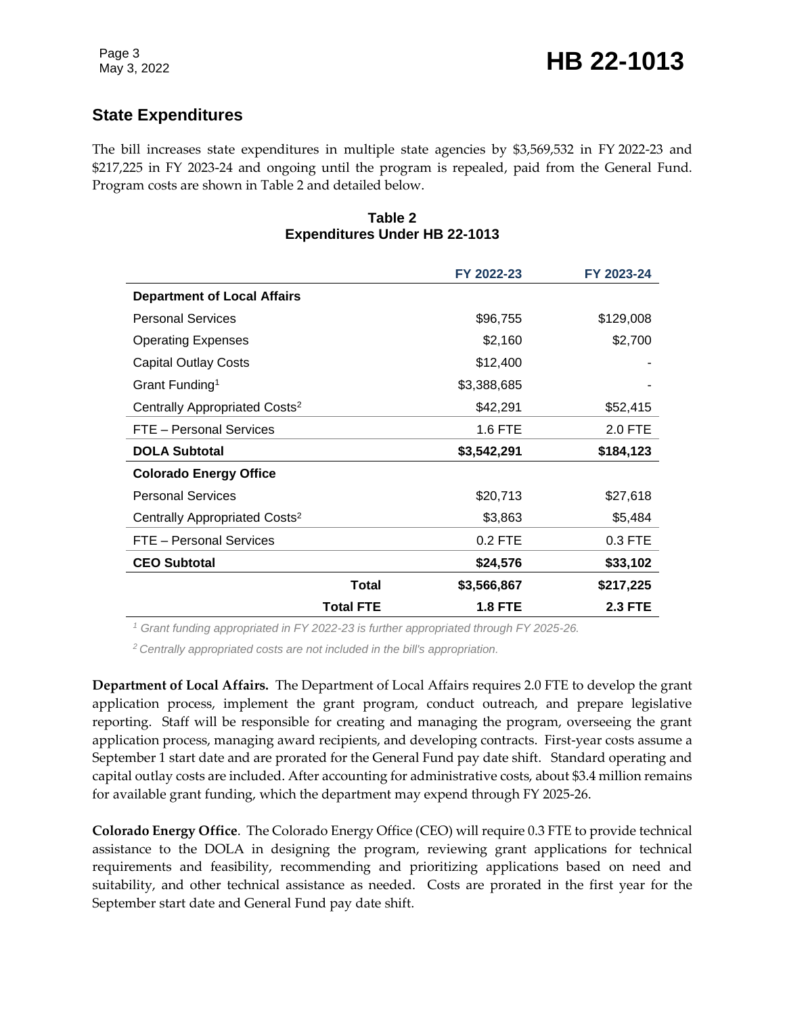## **State Expenditures**

The bill increases state expenditures in multiple state agencies by \$3,569,532 in FY 2022-23 and \$217,225 in FY 2023-24 and ongoing until the program is repealed, paid from the General Fund. Program costs are shown in Table 2 and detailed below.

#### **Table 2 Expenditures Under HB 22-1013**

|                                           |                  | FY 2022-23     | FY 2023-24     |
|-------------------------------------------|------------------|----------------|----------------|
| <b>Department of Local Affairs</b>        |                  |                |                |
| <b>Personal Services</b>                  |                  | \$96,755       | \$129,008      |
| <b>Operating Expenses</b>                 |                  | \$2,160        | \$2,700        |
| <b>Capital Outlay Costs</b>               |                  | \$12,400       |                |
| Grant Funding <sup>1</sup>                |                  | \$3,388,685    |                |
| Centrally Appropriated Costs <sup>2</sup> |                  | \$42,291       | \$52,415       |
| FTE - Personal Services                   |                  | 1.6 FTE        | 2.0 FTE        |
| <b>DOLA Subtotal</b>                      |                  | \$3,542,291    | \$184,123      |
| <b>Colorado Energy Office</b>             |                  |                |                |
| <b>Personal Services</b>                  |                  | \$20,713       | \$27,618       |
| Centrally Appropriated Costs <sup>2</sup> |                  | \$3,863        | \$5,484        |
| FTE - Personal Services                   |                  | 0.2 FTE        | 0.3 FTE        |
| <b>CEO Subtotal</b>                       |                  | \$24,576       | \$33,102       |
|                                           | Total            | \$3,566,867    | \$217,225      |
|                                           | <b>Total FTE</b> | <b>1.8 FTE</b> | <b>2.3 FTE</b> |

*<sup>1</sup> Grant funding appropriated in FY 2022-23 is further appropriated through FY 2025-26.* 

*<sup>2</sup> Centrally appropriated costs are not included in the bill's appropriation.*

**Department of Local Affairs.** The Department of Local Affairs requires 2.0 FTE to develop the grant application process, implement the grant program, conduct outreach, and prepare legislative reporting. Staff will be responsible for creating and managing the program, overseeing the grant application process, managing award recipients, and developing contracts. First-year costs assume a September 1 start date and are prorated for the General Fund pay date shift. Standard operating and capital outlay costs are included. After accounting for administrative costs, about \$3.4 million remains for available grant funding, which the department may expend through FY 2025-26.

**Colorado Energy Office**. The Colorado Energy Office (CEO) will require 0.3 FTE to provide technical assistance to the DOLA in designing the program, reviewing grant applications for technical requirements and feasibility, recommending and prioritizing applications based on need and suitability, and other technical assistance as needed. Costs are prorated in the first year for the September start date and General Fund pay date shift.